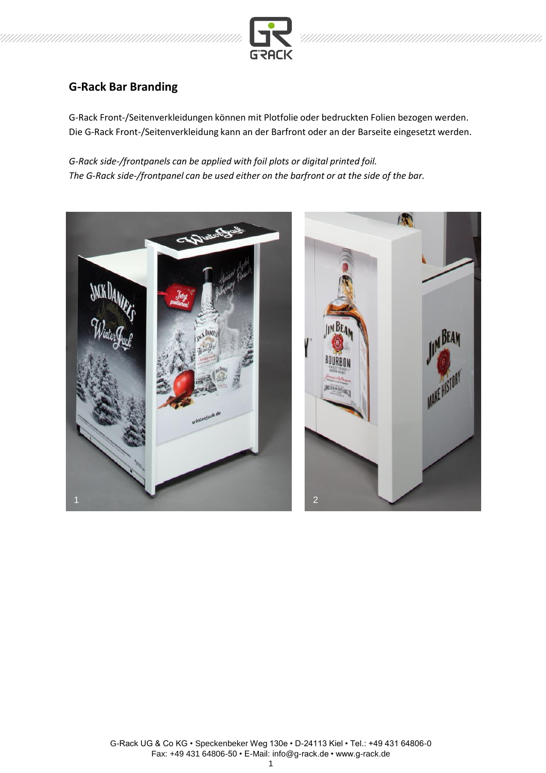

## **G-Rack Bar Branding**

G-Rack Front-/Seitenverkleidungen können mit Plotfolie oder bedruckten Folien bezogen werden. Die G-Rack Front-/Seitenverkleidung kann an der Barfront oder an der Barseite eingesetzt werden.

*G-Rack side-/frontpanels can be applied with foil plots or digital printed foil. The G-Rack side-/frontpanel can be used either on the barfront or at the side of the bar.*



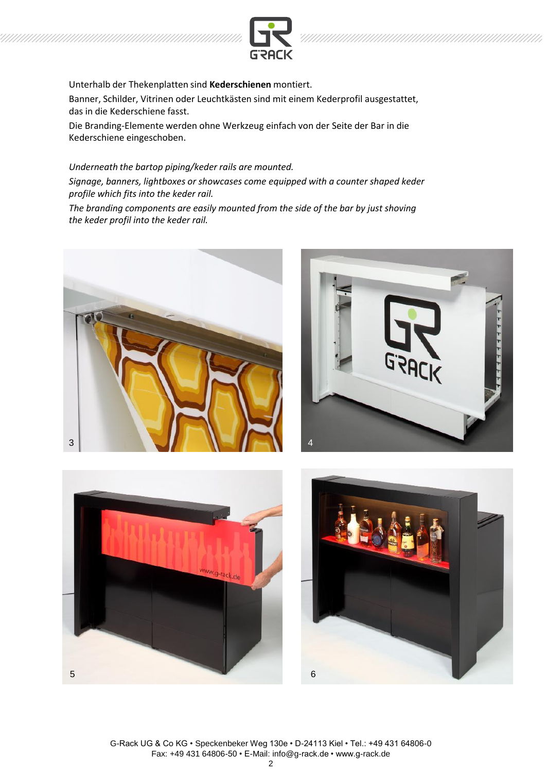



Unterhalb der Thekenplatten sind **Kederschienen** montiert.

Banner, Schilder, Vitrinen oder Leuchtkästen sind mit einem Kederprofil ausgestattet, das in die Kederschiene fasst.

Die Branding-Elemente werden ohne Werkzeug einfach von der Seite der Bar in die Kederschiene eingeschoben.

*Underneath the bartop piping/keder rails are mounted. Signage, banners, lightboxes or showcases come equipped with a counter shaped keder profile which fits into the keder rail.*

*The branding components are easily mounted from the side of the bar by just shoving the keder profil into the keder rail.*







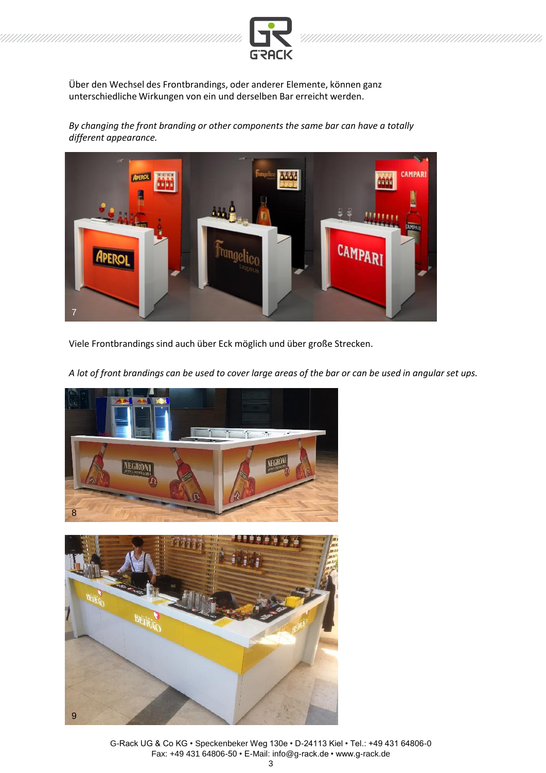



Über den Wechsel des Frontbrandings, oder anderer Elemente, können ganz unterschiedliche Wirkungen von ein und derselben Bar erreicht werden.

*By changing the front branding or other components the same bar can have a totally different appearance.*



Viele Frontbrandings sind auch über Eck möglich und über große Strecken.

*A lot of front brandings can be used to cover large areas of the bar or can be used in angular set ups.*



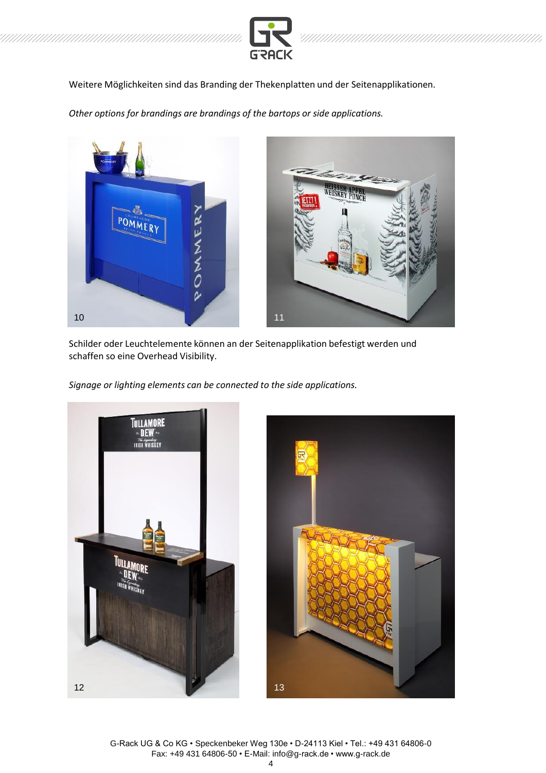



*Other options for brandings are brandings of the bartops or side applications.*



Schilder oder Leuchtelemente können an der Seitenapplikation befestigt werden und schaffen so eine Overhead Visibility.

*Signage or lighting elements can be connected to the side applications.*